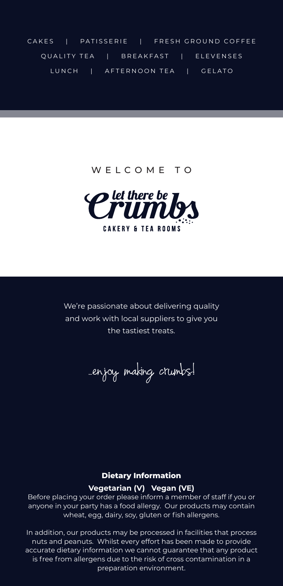CAKES | PATISSERIE | FRESH GROUND COFFEE QUALITY TEA | BREAKFAST | ELEVENSES LUNCH | AFTERNOON TEA | GELATO

WELCOME TO



We're passionate about delivering quality and work with local suppliers to give you the tastiest treats.

...enjoy making crumbs!

#### **Dietary Information**

#### **Vegetarian (V) Vegan (VE)**

Before placing your order please inform a member of staff if you or anyone in your party has a food allergy. Our products may contain wheat, egg, dairy, soy, gluten or fish allergens.

In addition, our products may be processed in facilities that process nuts and peanuts. Whilst every effort has been made to provide accurate dietary information we cannot guarantee that any product is free from allergens due to the risk of cross contamination in a preparation environment.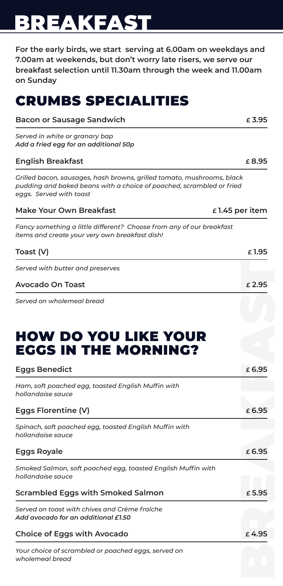# BREAKFAST

**For the early birds, we start serving at 6.00am on weekdays and 7.00am at weekends, but don't worry late risers, we serve our breakfast selection until 11.30am through the week and 11.00am on Sunday**

## CRUMBS SPECIALITIES

| <b>Bacon or Sausage Sandwich</b>                                                                                                                                          | £3.95 |
|---------------------------------------------------------------------------------------------------------------------------------------------------------------------------|-------|
| Served in white or granary bap<br>Add a fried egg for an additional 50p                                                                                                   |       |
| <b>English Breakfast</b>                                                                                                                                                  | £8.95 |
| Grilled bacon, sausages, hash browns, grilled tomato, mushrooms, black<br>pudding and baked beans with a choice of poached, scrambled or fried<br>eggs. Served with toast |       |
| Make Your Own Breakfast<br>$\epsilon$ 1.45 per item                                                                                                                       |       |
| Fancy something a little different? Choose from any of our breakfast<br>items and create your very own breakfast dish!                                                    |       |
| Toast (V)                                                                                                                                                                 | £1.95 |
| Served with butter and preserves                                                                                                                                          |       |
| Avocado On Toast                                                                                                                                                          | £2.95 |
| Served on wholemeal bread                                                                                                                                                 |       |

### HOW DO YOU LIKE YOUR EGGS IN THE MORNING?

| Served with butter and preserves                                                     |                 |
|--------------------------------------------------------------------------------------|-----------------|
| <b>Avocado On Toast</b>                                                              | £2.95           |
| Served on wholemeal bread                                                            |                 |
| HOW DO YOU LIKE YOUR<br><b>EGGS IN THE MORNING?</b>                                  |                 |
| <b>Eggs Benedict</b>                                                                 | £ 6.95          |
| Ham, soft poached egg, toasted English Muffin with<br>hollandaise sauce              |                 |
| Eggs Florentine (V)                                                                  | $\epsilon$ 6.95 |
| Spinach, soft poached egg, toasted English Muffin with<br>hollandaise sauce          |                 |
| <b>Eggs Royale</b>                                                                   | £6.95           |
| Smoked Salmon, soft poached egg, toasted English Muffin with<br>hollandaise sauce    |                 |
| <b>Scrambled Eggs with Smoked Salmon</b>                                             | £5.95           |
| Served on toast with chives and Crème fraîche<br>Add avocado for an additional £1.50 |                 |
| <b>Choice of Eggs with Avocado</b>                                                   | £4.95           |
| Your choice of scrambled or poached eggs, served on<br>wholemeal bread               |                 |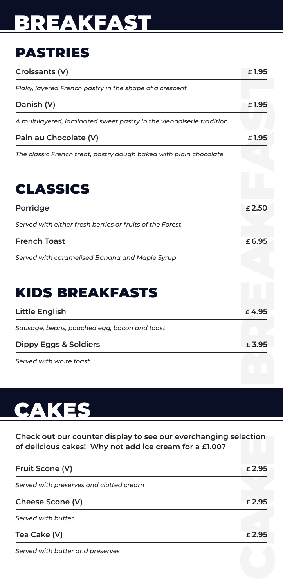# BREAKFAST

## PASTRIES

| Croissants (V)                                                                                                            | £1.95  |
|---------------------------------------------------------------------------------------------------------------------------|--------|
| Flaky, layered French pastry in the shape of a crescent                                                                   |        |
| Danish (V)                                                                                                                | £1.95  |
| A multilayered, laminated sweet pastry in the viennoiserie tradition                                                      |        |
| Pain au Chocolate (V)                                                                                                     | £1.95  |
| The classic French treat, pastry dough baked with plain chocolate                                                         |        |
|                                                                                                                           |        |
| <b>CLASSICS</b>                                                                                                           |        |
| Porridge                                                                                                                  | £2.50  |
| Served with either fresh berries or fruits of the Forest                                                                  |        |
| <b>French Toast</b>                                                                                                       | £6.95  |
| Served with caramelised Banana and Maple Syrup                                                                            |        |
|                                                                                                                           |        |
| <b>KIDS BREAKFASTS</b>                                                                                                    |        |
| <b>Little English</b>                                                                                                     | £4.95  |
| Sausage, beans, poached egg, bacon and toast                                                                              |        |
| <b>Dippy Eggs &amp; Soldiers</b>                                                                                          | £3.95  |
| Served with white toast                                                                                                   |        |
|                                                                                                                           |        |
|                                                                                                                           |        |
| CAKES                                                                                                                     |        |
|                                                                                                                           |        |
| Check out our counter display to see our everchanging selection<br>of delicious cakes! Why not add ice cream for a £1.00? |        |
| Fruit Scone (V)                                                                                                           | £2.95  |
| Served with preserves and clotted cream                                                                                   |        |
| Cheese Scone (V)                                                                                                          | £ 2.95 |
| Served with butter                                                                                                        |        |
| Tea Cake (V)                                                                                                              | £ 2.95 |
| Served with butter and preserves                                                                                          |        |
|                                                                                                                           |        |
|                                                                                                                           |        |

# **CAKES**

| Fruit Scone (V)                         | £2.95           |
|-----------------------------------------|-----------------|
| Served with preserves and clotted cream |                 |
| Cheese Scone (V)                        | £2.95           |
| Served with butter                      |                 |
| Tea Cake (V)                            | $\epsilon$ 2.95 |
|                                         |                 |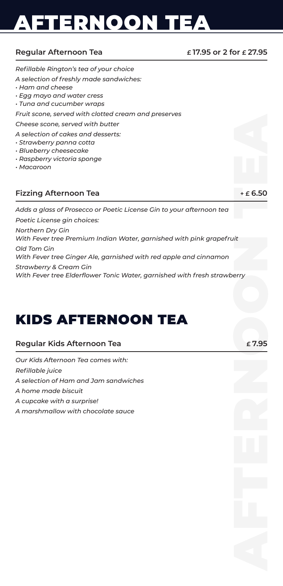# AFTERNOON TEA

#### **Regular Afternoon Tea**

**£ 17.95 or 2 for £ 27.95**

| Refillable Rington's tea of your choice                                                                       |            |
|---------------------------------------------------------------------------------------------------------------|------------|
| A selection of freshly made sandwiches:                                                                       |            |
| $\cdot$ Ham and cheese                                                                                        |            |
| · Egg mayo and water cress<br>· Tuna and cucumber wraps                                                       |            |
| Fruit scone, served with clotted cream and preserves                                                          |            |
| Cheese scone, served with butter                                                                              |            |
| A selection of cakes and desserts:                                                                            |            |
| · Strawberry panna cotta                                                                                      |            |
| · Blueberry cheesecake                                                                                        |            |
| · Raspberry victoria sponge                                                                                   |            |
| $·$ Macaroon                                                                                                  |            |
|                                                                                                               |            |
| <b>Fizzing Afternoon Tea</b>                                                                                  | $+ E 6.50$ |
| Adds a glass of Prosecco or Poetic License Gin to your afternoon tea                                          |            |
| Poetic License gin choices:                                                                                   |            |
| Northern Dry Gin                                                                                              |            |
| With Fever tree Premium Indian Water, garnished with pink grapefruit                                          |            |
| Old Tom Gin                                                                                                   |            |
| With Fever tree Ginger Ale, garnished with red apple and cinnamon                                             |            |
| <b>Strawberry &amp; Cream Gin</b><br>With Fever tree Elderflower Tonic Water, garnished with fresh strawberry |            |
|                                                                                                               |            |
|                                                                                                               |            |
|                                                                                                               |            |
|                                                                                                               |            |
|                                                                                                               |            |
| KIDS AFTERNOON TEA                                                                                            |            |
|                                                                                                               |            |
| Regular Kids Afternoon Tea                                                                                    | £7.95      |
| Our Kids Afternoon Tea comes with:                                                                            |            |
| Refillable juice                                                                                              |            |
| A selection of Ham and Jam sandwiches                                                                         |            |
| A home made biscuit                                                                                           |            |
| A cupcake with a surprise!                                                                                    |            |
| A marshmallow with chocolate sauce                                                                            |            |
|                                                                                                               |            |
|                                                                                                               |            |
|                                                                                                               |            |
|                                                                                                               |            |
|                                                                                                               |            |
|                                                                                                               |            |
|                                                                                                               |            |
|                                                                                                               |            |
|                                                                                                               |            |
|                                                                                                               |            |
|                                                                                                               |            |
|                                                                                                               |            |
|                                                                                                               |            |
|                                                                                                               |            |

### KIDS AFTERNOON TEA

| Regular Kids Afternoon Tea | £7.95 |
|----------------------------|-------|
|----------------------------|-------|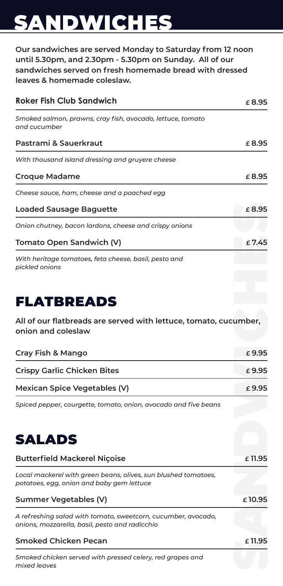# SANDWICHES

**Our sandwiches are served Monday to Saturday from 12 noon until 5.30pm, and 2.30pm - 5.30pm on Sunday. All of our sandwiches served on fresh homemade bread with dressed leaves & homemade coleslaw.**

| <b>Roker Fish Club Sandwich</b>                                            | f 8.95   |
|----------------------------------------------------------------------------|----------|
| Smoked salmon, prawns, cray fish, avocado, lettuce, tomato<br>and cucumber |          |
| Pastrami & Sauerkraut                                                      | £ 8.95   |
| With thousand island dressing and gruyere cheese                           |          |
| <b>Croque Madame</b>                                                       | £ 8.95   |
| Cheese sauce, ham, cheese and a poached egg                                |          |
| <b>Loaded Sausage Baguette</b>                                             | £ 8.95   |
| Onion chutney, bacon lardons, cheese and crispy onions                     |          |
| Tomato Open Sandwich (V)                                                   | $f$ 7.45 |
| With heritage tomatoes, feta cheese, basil, pesto and<br>pickled onions    |          |

### FLATBREADS

| Cray Fish & Mango                  | $\epsilon$ 9.95 |
|------------------------------------|-----------------|
| <b>Crispy Garlic Chicken Bites</b> | £9.95           |
| Mexican Spice Vegetables (V)       | £9.95           |



| <b>Loaded Sausage Baguette</b>                                                                                  | £8.95     |
|-----------------------------------------------------------------------------------------------------------------|-----------|
| Onion chutney, bacon lardons, cheese and crispy onions                                                          |           |
| <b>Tomato Open Sandwich (V)</b>                                                                                 | £7.45     |
| With heritage tomatoes, feta cheese, basil, pesto and<br>pickled onions                                         |           |
| <b>FLATBREADS</b>                                                                                               |           |
| All of our flatbreads are served with lettuce, tomato, cucumber,<br>onion and coleslaw                          |           |
| Cray Fish & Mango                                                                                               | £9.95     |
| <b>Crispy Garlic Chicken Bites</b>                                                                              | £ 9.95    |
| <b>Mexican Spice Vegetables (V)</b>                                                                             | £ 9.95    |
| Spiced pepper, courgette, tomato, onion, avocado and five beans                                                 |           |
|                                                                                                                 |           |
| <b>SALADS</b>                                                                                                   |           |
| <b>Butterfield Mackerel Niçoise</b>                                                                             | $£$ 11.95 |
| Local mackerel with green beans, olives, sun blushed tomatoes,<br>potatoes, egg, onion and baby gem lettuce     |           |
| <b>Summer Vegetables (V)</b>                                                                                    | £10.95    |
| A refreshing salad with tomato, sweetcorn, cucumber, avocado,<br>onions, mozzarella, basil, pesto and radicchio |           |
| <b>Smoked Chicken Pecan</b>                                                                                     | £11.95    |
| Smoked chicken served with pressed celery, red grapes and<br>mixed leaves                                       |           |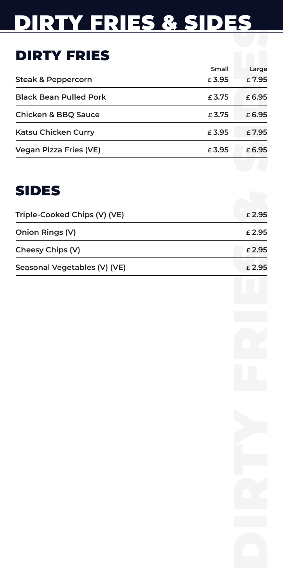# DIRTY FRIES & SIDES

## DIRTY FRIES

| <b>DIRING ERIES RESIDES</b>    |                |                |
|--------------------------------|----------------|----------------|
|                                |                |                |
| <b>DIRTY FRIES</b>             |                |                |
| <b>Steak &amp; Peppercorn</b>  | Small<br>£3.95 | Large<br>£7.95 |
| <b>Black Bean Pulled Pork</b>  | £ 3.75         | £6.95          |
| <b>Chicken &amp; BBQ Sauce</b> | £ 3.75         | £6.95          |
| Katsu Chicken Curry            | £3.95          | £7.95          |
| <b>Vegan Pizza Fries (VE)</b>  | £3.95          | £6.95          |
|                                |                |                |
| <b>SIDES</b>                   |                |                |
| Triple-Cooked Chips (V) (VE)   |                | £2.95          |
| <b>Onion Rings (V)</b>         |                | £2.95          |
| Cheesy Chips (V)               |                | £2.95          |
| Seasonal Vegetables (V) (VE)   |                | £2.95          |
|                                |                |                |
|                                |                |                |
|                                |                |                |
|                                |                |                |
|                                |                |                |
|                                |                |                |
|                                |                |                |
|                                |                |                |
|                                |                |                |
|                                |                |                |
|                                |                |                |
|                                |                |                |
|                                |                |                |
|                                |                |                |
|                                |                |                |
|                                |                |                |
|                                |                |                |

## SIDES

| Triple-Cooked Chips (V) (VE) | £2.95    |
|------------------------------|----------|
| Onion Rings (V)              | £2.95    |
| Cheesy Chips (V)             | £2.95    |
| Seasonal Vegetables (V) (VE) | $f$ 2.95 |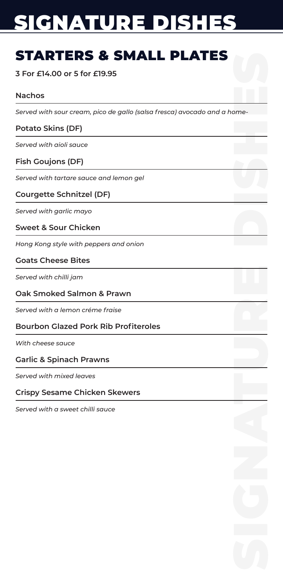# SIGNATURE DISHES

## STARTERS & SMALL PLATES

#### **3 For £14.00 or 5 for £19.95**

#### **Nachos**

SIGNATURE DISHESE *Served with sour cream, pico de gallo (salsa fresca) avocado and a home-*

#### **Potato Skins (DF)**

*Served with aioli sauce*

#### **Fish Goujons (DF)**

*Served with tartare sauce and lemon gel* 

#### **Courgette Schnitzel (DF)**

*Served with garlic mayo*

#### **Sweet & Sour Chicken**

*Hong Kong style with peppers and onion*

#### **Goats Cheese Bites**

*Served with chilli jam* 

#### **Oak Smoked Salmon & Prawn**

*Served with a lemon créme fraise*

#### **Bourbon Glazed Pork Rib Profiteroles**

*With cheese sauce*

#### **Garlic & Spinach Prawns**

*Served with mixed leaves*

#### **Crispy Sesame Chicken Skewers**

*Served with a sweet chilli sauce*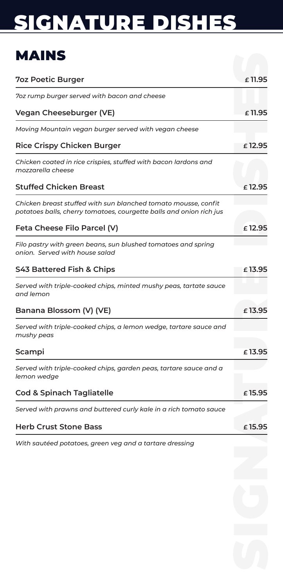# SIGNATURE DISHES

## MAINS

| MAINS                                                                                                                                 |           |
|---------------------------------------------------------------------------------------------------------------------------------------|-----------|
| <b>70z Poetic Burger</b>                                                                                                              | £11.95    |
| 7oz rump burger served with bacon and cheese                                                                                          |           |
| Vegan Cheeseburger (VE)                                                                                                               | $£$ 11.95 |
| Moving Mountain vegan burger served with vegan cheese                                                                                 |           |
| <b>Rice Crispy Chicken Burger</b>                                                                                                     | £12.95    |
| Chicken coated in rice crispies, stuffed with bacon lardons and<br>mozzarella cheese                                                  |           |
| <b>Stuffed Chicken Breast</b>                                                                                                         | £12.95    |
| Chicken breast stuffed with sun blanched tomato mousse, confit<br>potatoes balls, cherry tomatoes, courgette balls and onion rich jus |           |
| Feta Cheese Filo Parcel (V)                                                                                                           | £12.95    |
| Filo pastry with green beans, sun blushed tomatoes and spring<br>onion. Served with house salad                                       |           |
| S43 Battered Fish & Chips                                                                                                             | $£$ 13.95 |
| Served with triple-cooked chips, minted mushy peas, tartate sauce<br>and lemon                                                        |           |
| Banana Blossom (V) (VE)                                                                                                               | £13.95    |
| Served with triple-cooked chips, a lemon wedge, tartare sauce and<br>mushy peas                                                       |           |
| Scampi                                                                                                                                | $£$ 13.95 |
| Served with triple-cooked chips, garden peas, tartare sauce and a<br>lemon wedge                                                      |           |
| <b>Cod &amp; Spinach Tagliatelle</b>                                                                                                  | £15.95    |
| Served with prawns and buttered curly kale in a rich tomato sauce                                                                     |           |
| <b>Herb Crust Stone Bass</b>                                                                                                          | £15.95    |
| With sautéed potatoes, green veg and a tartare dressing                                                                               |           |
|                                                                                                                                       |           |
|                                                                                                                                       |           |
|                                                                                                                                       |           |
|                                                                                                                                       |           |
|                                                                                                                                       |           |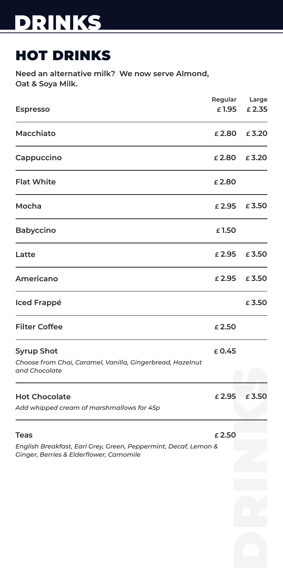## HOT DRINKS

**Need an alternative milk? We now serve Almond, Oat & Soya Milk.**

|                                                                                                                           |        | Regular Large |
|---------------------------------------------------------------------------------------------------------------------------|--------|---------------|
| <b>Espresso</b>                                                                                                           | £1.95  | £2.35         |
| Macchiato                                                                                                                 | £2.80  | £3.20         |
| Cappuccino                                                                                                                | £2.80  | £3.20         |
| <b>Flat White</b>                                                                                                         | £2.80  |               |
| Mocha                                                                                                                     | £ 2.95 | £3.50         |
| <b>Babyccino</b>                                                                                                          | £1.50  |               |
| Latte                                                                                                                     | £2.95  | £3.50         |
| <b>Americano</b>                                                                                                          | £ 2.95 | £3.50         |
| <b>Iced Frappé</b>                                                                                                        |        | £ 3.50        |
| <b>Filter Coffee</b>                                                                                                      | £2.50  |               |
| <b>Syrup Shot</b><br>Choose from Chai, Caramel, Vanilla, Gingerbread, Hazelnut<br>and Chocolate                           | £ 0.45 |               |
| <b>Hot Chocolate</b><br>Add whipped cream of marshmallows for 45p                                                         | £2.95  | £3.50         |
| <b>Teas</b><br>English Breakfast, Earl Grey, Green, Peppermint, Decaf, Lemon &<br>Ginger, Berries & Elderflower, Camomile | £2.50  |               |
|                                                                                                                           |        |               |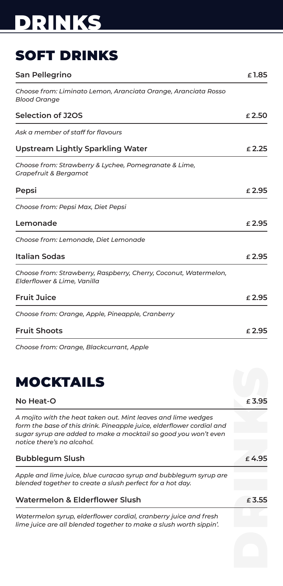## SOFT DRINKS

| <b>San Pellegrino</b>                                                                                                                                                                                                                   | £1.85           |
|-----------------------------------------------------------------------------------------------------------------------------------------------------------------------------------------------------------------------------------------|-----------------|
| Choose from: Liminato Lemon, Aranciata Orange, Aranciata Rosso<br><b>Blood Orange</b>                                                                                                                                                   |                 |
| <b>Selection of J2OS</b>                                                                                                                                                                                                                | £2.50           |
| Ask a member of staff for flavours                                                                                                                                                                                                      |                 |
| <b>Upstream Lightly Sparkling Water</b>                                                                                                                                                                                                 | $\epsilon$ 2.25 |
| Choose from: Strawberry & Lychee, Pomegranate & Lime,<br>Grapefruit & Bergamot                                                                                                                                                          |                 |
| Pepsi                                                                                                                                                                                                                                   | $\epsilon$ 2.95 |
| Choose from: Pepsi Max, Diet Pepsi                                                                                                                                                                                                      |                 |
| Lemonade                                                                                                                                                                                                                                | £2.95           |
| Choose from: Lemonade, Diet Lemonade                                                                                                                                                                                                    |                 |
| <b>Italian Sodas</b>                                                                                                                                                                                                                    | £2.95           |
| Choose from: Strawberry, Raspberry, Cherry, Coconut, Watermelon,<br>Elderflower & Lime, Vanilla                                                                                                                                         |                 |
| <b>Fruit Juice</b>                                                                                                                                                                                                                      | £2.95           |
| Choose from: Orange, Apple, Pineapple, Cranberry                                                                                                                                                                                        |                 |
| <b>Fruit Shoots</b>                                                                                                                                                                                                                     | £2.95           |
| Choose from: Orange, Blackcurrant, Apple                                                                                                                                                                                                |                 |
| <b>MOCKTAILS</b>                                                                                                                                                                                                                        |                 |
| No Heat-O                                                                                                                                                                                                                               | $\epsilon$ 3.95 |
| A mojito with the heat taken out. Mint leaves and lime wedges<br>form the base of this drink. Pineapple juice, elderflower cordial and<br>sugar syrup are added to make a mocktail so good you won't even<br>notice there's no alcohol. |                 |
| <b>Bubblegum Slush</b>                                                                                                                                                                                                                  | £4.95           |
| Apple and lime juice, blue curacao syrup and bubblegum syrup are<br>blended together to create a slush perfect for a hot day.                                                                                                           |                 |
| <b>Watermelon &amp; Elderflower Slush</b>                                                                                                                                                                                               | $\epsilon$ 3.55 |
| Watermelon syrup, elderflower cordial, cranberry juice and fresh<br>lime juice are all blended together to make a slush worth sippin'.                                                                                                  |                 |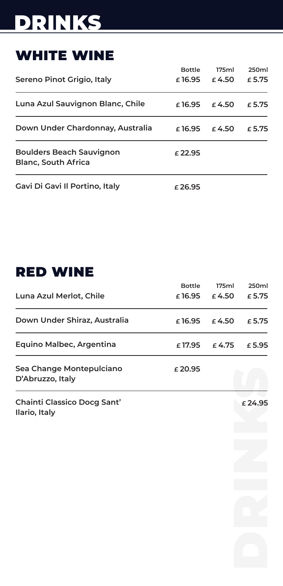## WHITE WINE

|                                                               | <b>Bottle</b> | 175ml           | 250ml           |
|---------------------------------------------------------------|---------------|-----------------|-----------------|
| Sereno Pinot Grigio, Italy                                    | £16.95        | $\epsilon$ 4.50 | £ 5.75          |
| Luna Azul Sauvignon Blanc, Chile                              | £16.95        | £4.50           | $\epsilon$ 5.75 |
| Down Under Chardonnay, Australia                              | £16.95        | $\epsilon$ 4.50 | £ 5.75          |
| <b>Boulders Beach Sauvignon</b><br><b>Blanc, South Africa</b> | $£$ 22.95     |                 |                 |
| Gavi Di Gavi Il Portino, Italy                                | $£$ 26.95     |                 |                 |

## RED WINE

|                                                     | <b>Bottle</b> | 175ml  | 250ml  |
|-----------------------------------------------------|---------------|--------|--------|
| Luna Azul Merlot, Chile                             | £16.95        | £4.50  | £ 5.75 |
| Down Under Shiraz, Australia                        | £16.95        | £4.50  | £ 5.75 |
| Equino Malbec, Argentina                            | £ 17.95       | £ 4.75 | £5.95  |
| Sea Change Montepulciano<br>D'Abruzzo, Italy        | £20.95        |        |        |
| <b>Chainti Classico Docg Sant'</b><br>Ilario, Italy |               |        | £24.95 |
|                                                     |               |        |        |
|                                                     |               |        |        |
|                                                     |               |        |        |